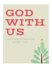# GIOID ▓▓▓▓▓▓▓▓▓▓▓<br>▓▓▓▓▓▓▓▓▓▓ TJS

# FAMILY DEVOTIONALS FOR ADVENT 2020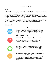### *Introduction and Instructions*

### Parent,

The theme PCPC is using for Advent is *Immanuel*, or God With Us. Our hope is that each element in this packet re-enforces this wonderful reality that God is with us! In this document you will find a Scripture reading that corresponds to the PCPC Prayer Guide, a family devotional, and instructions for family activities (craft, questions, activity, and prayer) for Advent 2020. Sunday's are not included, so that allows for a day of rest or catch-up for your family. There is freedom in going in a different direction on each of these elements, maybe you switch out the craft elements or you have to elevate a piece for your child. Our goal is to give you a place to start! Below you will see icons that relate to each element with a little more explanation of how to do it. We hope this time is enriching for your family, and that God uses this time and you to shepherd your child's heart to see God's love for them.

### Grace and peace, PCPC Kids Ministry



### **Icon Explanation**

**Craft**: Most of the crafts involve things that you probably have on hand: paint & paintbrush, crayons, playdough, and sidewalk chalk. Feel free to substitute the craft elements each Sunday, elevate or lower the craft instructions based on your child. Allow your child to imagine the scene; try not to intervene or correct how they draw things or what colors they use.



**Follow-up Question**: In the follow-up questions, which can be used during or after craft time, should help the child explore the story further. The goal should be to invoke imagination to better understand or seek understanding of the biblical text.



**Family Activity**: This is an additional component to engage your child through motion and play. While the craft exercise can be independent, the family activity should use parents and siblings. There is freedom to expand the idea to capture more of the story!



**Family Prayer**: Whether you use all the component in sequence, or only use some, our ministry believes this one is the most vital. Prayer as a family creates a rhythm for your kids no matter the age and signifies it as an essential part to knowing God and growing in the likeness of Jesus Christ. The family prayer is taken from the PCPC Prayer guide.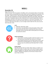# **WEEK 1**

## **November 30**

Read: Genesis 3:1-15

"Where are you?" The first question in the Bible, and it is not posed by Adam or Eve but God. Of course, the All-Knowing God knows where Adam and Eve are hiding but the question is for the reader. "Where are you?" Not your physical location, although for Adam and Eve that clued us in that something was wrong, but spiritually. While still in the Garden, Adam and Eve were miles if not galaxies away. Sin was introduced into the world through Adam and Eve's disobedience. But God, in the midst of our first parents' sin, still enters the Garden. This is a foreshadowing of events to come: Jesus Christ, God's Son, enters our world, full of sin, to rescue us. God comes to be with us, so we no longer need to hide from Him, but we can be hid in Him (Col. 3:3-4).



### **Craft**

- Materials: watercolors, paper
- Instructions: Use watercolors to draw the Garden of Eden. Allow kids to paint what they think it would look like (trees, animals, landscape). Discuss how God made Creation good, but sin entered the world and ruined it.



### **Follow-Up Question**

- Do you think it would be possible to hide from God? Is it scary that God knows everything? Even what you're thinking?
- Do you believe God loves you? No matter what you do or say? If God knows everything about you, and loves you no matter what you say or do, what do you think about that? Is it Good News?



### **Family Activity**

Play hide-and-seek with your family. Either indoors or outdoors. For babies and crawlers, try peek-a-boo. At the end of the game, gather the family together for a big hug. Parents say these words over your children. "Nothing can separate us from the love of God in Christ Jesus" (Rom. 8:37-39).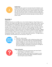

### **Family Prayer**

Almighty God, give us grace to cast away the works of darkness, and put on the armor of light, now in the time of this mortal life in which Your Son Jesus Christ came to visit us in great humility; that in the last day, when He shall come again in His glorious majesty to judge both the living and the dead, we may rise to the life immortal; through Him who lives and reigns with You and the Holy Spirit, one God, now and forever. Amen.

# **December 1**

### Isaiah 9:2-17

Walking in the dark is an incredibly scary, not to mention dangerous, thing. Perhaps you've done this in the middle of the night to go use the restroom or to get a drink of water. You can sense the darkness surrounding you, and as you blindly feel around to make sure you don't hit something, you are ready to find a light switch, so the trial is over. As Isaiah writes this passage, Israel is walking in darkness and ready for the light to appear! But sadly, it will take many more years for that light to come; Israel never saw the great light. The Great Light would be a son given to Israel for their rescue. He would be a Wonderful Counselor, a Mighty God, Everlasting Father, and Prince of Peace. Jesus comes as that Son, Counselor, Might God, and Prince of Peace. While it may seem like darkness surrounds us, we can take comfort in knowing that the Light – Jesus Christ – has come, and as John reminds us, "The light shines in the darkness, and the darkness has not overcome it" (John 1:5).



### **Craft**

- Materials: crayons, paper
- Instructions: Fold the paper in half, creating two sections. Have your child on one side draw things that create light (flashlight, candle, headlights, etc.) and on the other side have them color darkness or nighttime. Discuss with them how each thing they draw can shine light in the darkness, but that Jesus is the light of the world and darkness cannot overcome Him.



### **Follow-up Question**

- How do you think Israel reacted when they heard Isaiah's words? Happy or sad? Relief or anger?
- Read Isaiah 9:6 again. Break down each title given to Jesus. Talk about what everlasting, mighty, wonderful and peace mean during this season of Advent.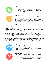

### **Family Activity**

At nighttime, have each person in your family grab a light of some sort (flashlight, candle, or nightlight). Sit in your living with all the lights off and have one person read the passage above (Isaiah 9:2-17).



### **Family Prayer**

Almighty God, give us grace to cast away the works of darkness, and put on the armor of light, now in the time of this mortal life in which Your Son Jesus Christ came to visit us in great humility; that in the last day, when He shall come again in His glorious majesty to judge both the living and the dead, we may rise to the life immortal; through Him who lives and reigns with You and the Holy Spirit, one God, now and forever. Amen.

# **December 2**

### Read Isaiah 11:1-9

A wolf and a lamb living together? A leopard and a young goat lying down together? A cow and a bear eating together? A young baby playing with a snake? These sound so strange! What could possibly make these animals live together peacefully? They will be in the presence of God on his holy mountain! Now all of this sounds strange, but it is direction God is taking the world. How? Well, it is through the coming of a king! Isaiah describes this king as a shoot, or a small plant, coming out of a huge stump. A stump is a tree that has been cut down, and most of the time we can guess the tree is dead. But God does impossible things. During Isaiah's time, the Israelites thought they were doomed. God had judged them for their sin and was punishing them. But the punishment was not the end, God was going to send a Righteous King to rule. This King would obey God and would lead God's people, and all creation, to know and love God.



### **Craft**

- Materials: playdough
- Instructions: Read the passage again with your kids. Have them make the different objects (stump, shoot, wolf, lion, lamb, etc.) with the playdough.



### **Follow-Up Question**

- What do you think it would be like to see a cow and bear to eat together?
- Think about two things that might be opposite of each other. Could you imagine them living at peace with one another?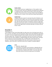

### **Family activity**

Go for a walk around your neighborhood, or if the weather is bad around your home. Have your child point out things that are opposite or unlikely pairs (lion, lamb) if they see them. Discuss how they are opposites. If you do not see any, ask your child to name the different things they see in Creation. How could those things bring God glory?



### **Family Prayer**

Almighty God, give us grace to cast away the works of darkness, and put on the armor of light, now in the time of this mortal life in which Your Son Jesus Christ came to visit us in great humility; that in the last day, when He shall come again in His glorious majesty to judge both the living and the dead, we may rise to the life immortal; through Him who lives and reigns with You and the Holy Spirit, one God, now and forever. Amen.

# **December 3**

### Read Micah 5:2-4

In the kingdom of God, some things might not make sense such as the dead come to life, or like in our story, the littlest rule over the greatest. Micah writes about Bethlehem Ephrathah, so small it's not even included among the clans of Judah. And yet, from this small little clan will come a great ruler. This great ruler is promised to rule over all of Israel. He will be the kind of ruler that is like a shepherd. A shepherd guides the sheep, protects them, and leads them to pastures to eat and rest (Psalm 23), or as Micah tells us the sheep will "live securely." This Great, Promised Shepherd will come, and his name is Jesus! Jesus, our Shepherd, came to be with us, and will one day return to gather his people together.



### **Craft**

- Materials: sidewalk chalk
- Instructions: Go outside in your driveway or sidewalk with your sidewalk chalk. Read over the passage one time and then have your child draw a shepherd with a flock. If you have older kids, have them write out verse four (either part or the whole).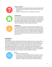

### **Follow-up Question**

- Why does God use the smallest things to accomplish things? What makes that important? (Reference back to the previous day with Isaiah 11:1)
- What does "dwell securely" or "live safely" mean to you?



### **Family Activity**

Go on a walk as a family, and have your children point out large trees. If you see an oak tree, go over and look at the acorn, or if it's a pecan tree, locate a pecan on the ground. Share with your child how the tiny seed, when planted, then grows up to be a mighty tree. Parallel this with Micah 5 and how God grows great things out of small things. Jesus our Great Rescuer comes as a baby at Christmas!



### **Family Prayer**

Almighty God, give us grace to cast away the works of darkness, and put on the armor of light, now in the time of this mortal life in which Your Son Jesus Christ came to visit us in great humility; that in the last day, when He shall come again in His glorious majesty to judge both the living and the dead, we may rise to the life immortal; through Him who lives and reigns with You and the Holy Spirit, one God, now and forever. Amen.

# **December 4**

### Read Isaiah 53

Despised? Rejected? Not esteemed? Stricken? Who would want to enter a situation where a person had to experience these things? I don't think I would, would you? This passage is known as the Suffering Servant and is usually read around Easter to describe Christ's death and crucifixion. But among these crucial words, one particular verse stands out: "by his knowledge shall the righteous one, my servant, make many to be accounted righteous." While the Crucifixion gets much attention for its redemptive work, the Incarnation is critical to understand and ponder on the wonder of God becoming Man. Jesus Christ, the Righteous One, promised long ago, comes to make many sons and daughters righteous.



### **Craft**

- Materials: watercolors, paper
- Instructions: Take a sheet of paper (8.5x11) and fold it in half. On one side have your child paint a picture of Christ's birth, and on the other half have your child paint the Crucifixion (could be detailed or as simple as a cross and the tomb). Share with your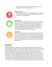child how both the birth, death, and resurrection of Jesus are significant parts of God's plan to rescue us.



### **Follow-Up Question**

• What does it feel like to be left out? Bullied or picked on? Told you are not wanted? Why does Jesus go through all of this and more according to our passage above?



### **Family Activity**

During this season of Advent there are many people who are hurting (stricken), left out or hated (despised), and perhaps unloved. Think about ways or things to donate to a local charity that helps the homeless and hurting. Coats, toiletries, clothing, canned food items are much needed for homeless shelters and other organizations. Consider collecting items and making a family trip to a place that could help the homeless, orphan, or those hurting.



#### **Family Prayer**

Almighty God, give us grace to cast away the works of darkness, and put on the armor of light, now in the time of this mortal life in which Your Son Jesus Christ came to visit us in great humility; that in the last day, when He shall come again in His glorious majesty to judge both the living and the dead, we may rise to the life immortal; through Him who lives and reigns with You and the Holy Spirit, one God, now and forever. Amen.

### **December 5**

#### Read Malachi 4

Christmas is regarded as a happy, joyous time, mostly. But the Bible also speaks to it as a time of judgement. Judgment? In the middle of presents, eggnog, and parties? "Sort of sad to talk of judgement when we are supposed to be happy that Jesus is born," you might say. But with the coming of God's Promised One, Jesus, not only is deliverance coming but also judgement. Not everyone would accept God's Promised One. If we look back and see the various ways in which God delivered His people before, they were ridiculed and chose not to trust God to save them so why would they just the Messiah. However, Jesus's arrival is not the expected way in which God decides to judge. A baby as a judge? Well that baby grows up eventually, so in the meantime God is offering season for those who do evil to repent and turn aside from their evil ways. As we participate in the season of Advent, while we have time to turn away sin and rejoice in righteousness, we should remember that the Savior comes not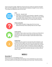only to rescue but to judge. Judgement comes by the way in which we respond to His Word (John 12:47-48). Judgement is not a dreary idea for the righteous though! As verse 2 tells us, "You shall go out leaping like calves from the stall."



### **Craft**

- Materials: sidewalk chalk
- Instructions: Go outside to your driveway or sidewalk. An adult or older sibling should read Malachi 4:2. Draw calves or cows jumping up and down. Allow younger children to draw cows how they would like. Talk about how Jesus' coming is joyful for believers.



### **Follow-up Question**

• What makes you joyful or happy about this time of year (Advent/Christmas)? Does anything make you sad or angry?



### **Family Activity**

Go outside, or clear a place in your home, and have your family skip or jump (like the calf in verse 2). Every time you skip or jump, have a person share what makes the happy or joyful about Advent and/or Christmas.



### **Family Prayer**

Almighty God, give us grace to cast away the works of darkness, and put on the armor of light, now in the time of this mortal life in which Your Son Jesus Christ came to visit us in great humility; that in the last day, when He shall come again in His glorious majesty to judge both the living and the dead, we may rise to the life immortal; through Him who lives and reigns with You and the Holy Spirit, one God, now and forever. Amen.

# **WEEK 2**

# **December 7**

Read Genesis 12:1-3,7 & Galatians 3:15-16

Have you ever gone camping? What if God told your mom and dad that you were to leave your house, pack the car and head out to some place you'd never been. He did not tell you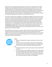exactly where you were going but told you that you were never coming back. Think about having to pack everything you would need but only what you could carry in the car. That would be tough. The only thing you knew was that God was going to make you and your family into a whole new country when you got there. You'd be the ones to start that country. This was the deal God made with Abram. The promise God made to Abram was that He would majorly bless him and also make him a HUGE blessing. He promised to bless everyone in the world through Abram and his family. That includes you and me.

Every time I read this story in the Bible, I'm reminded of the Pilgrims who came here to start our country. They left everything behind, packed up only what they could carry on the boat, had little to no hope of ever coming back and really had no idea where they were going to end up. The dream God planted in their heart was to start a country where they could worship God in the way they understood He wanted to be worshipped through the Bible. They knew the Ten Commandments and they didn't feel like their country or church was upholding them very well. God led them to do a new thing. Often, when God calls us to do something NEW and BIG, there is a price to pay. We must leave what we know to be comfortable and familiar behind and start out to a place where He leads us, where we must depend only on Him and his GRACE.

Jesus did that for us when He came to earth. God the Father sent Him away from everything He knew to be perfect and good in heaven to earth. He sent Him with a promise and a purpose, but it was not easy. He was perfected by what He suffered every day. Jesus was the fulfillment of what God promised to Abram. Because of Him we can become a part of that family and to partake in that blessing.



### **Craft**

- Materials: Popsicle sticks, sharpies, old flannel or clothe cut into pieces.
- Instructions: Use scraps of clothe or flannel and 20-30 popsicles sticks to make a tent that Abram and Sarah stay in. Make 3 sticks into Abram, Sarai and Lot. Pretend to make camp and move.

### OR

- Materials: Big piece of white or green paper. Green or gold marker or crayon.
- Draw a Christmas tree on a big piece of paper. Print out pictures of your favorite people who bless you often and well. Cut their faces into circles and glue them on the tree as ornaments. Write across the top of the tree or the bottom: "Friends are the Ornaments of Life." And on the other end: "Make me a BLESSING!"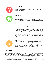

### **Follow-Up Question**

What does it mean to be a blessing? List all the ways God tells Abram about blessings and what He is doing in Abram's life. How is He making YOU a blessing?



### **Family Activity: Build a Campsite**

Gather blankets and backpacks. Turn an area of the yard or the house into a campsite. Do your family devo's there this week. Talk about leaving everything behind and moving to a new place, only to live in a tent for the rest of your life.

OR

### **Make a Blessing Tree on your Sidewalk**

Use your sidewalk chalk to draw a BIG CHRISTMAS TREE on a panel of your sidewalk. Across the bottom, write the phrase: "Friends are the Ornaments of Life." Draw lots of big ball ornaments on your tree. Set up a lemonade stand or hot cocoa stand and sit along the sidewalk. As people pass by, ask them to name one person in their life who is a huge BLESSING to them. As you wait, write the names of all the people in your life who God has made to be a blessing for you inside the balls.



### **Family Prayer**

Merciful God, who sent Your messengers the prophets to preach repentance and prepare the way for our salvation: Give us grace to heed their warnings and forsake our sins, that we may greet with joy the coming of Jesus Christ our Redeemer; who lives and reigns with You and the Holy Spirit, one God, now and forever. Amen.

# **December 8**

Read Exodus 20:1-17

Rules are a necessary part of life. Think of all the ways they make our life better: speed zones, traffic lights, rules for soccer, rules for how you play board games, rules for how you spell words and how math works. Think about playing soccer or basketball. What if there were no clear marking for out of bounds? Someone could run so far away that you'd never catch them and get the ball back! We are the same. If we don't know what is "out of bounds" in life, we can never understand when we are wrong and need to seek forgiveness. Most importantly, if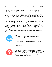God didn't give us any rules, we'd have no idea of the fact that we all sin and fall short of His Glory.

The thing I like most about the Ten Commandments is that they start with our relationship with God Himself. The first 4-5 teach us how to love Him well and what it looks like we go "out of bounds" in our relationship with Him. The second half focuses on our relationship with our fellow man. Think about each of them. Do you obey all these all the time? Jesus is the Only One who obeyed all the rules all the time. He was holy. We are not. We all disobey every day in what we say, what we do and what we think. God says without holiness, no one can see Him or approach Him. God is holy. Knowing these Ten Commandments helps us see that we are not holy. What do we do about that?

Think about God like this. When God gave Moses the Ten Commandments, He took him up on a mountain covered with smoke and fire. He told the people to look but not touch the mountain or they would die. God is like a fire. Fire keeps us warm, cooks our food, gives us light, but if we touch fire, it burns us. Holiness is like a fire. There are so many good things that result from God's holiness. We can't touch that holiness, but we can see it and benefit from it. Looking at God's perfect law warms our hearts, feeds our soul, lights our way to Him by showing us that He is holy, and we are not. Only through the cross can we approach Him in His splendor and Holiness. Thank God for the law that shows us our sin and leads us to Jesus.



### **Craft**

- Materials: Sidewalk chalk or 20 pieces of paper/crayons
- Instructions: Using the panels of your sidewalk, draw out ways to live out each commandment.

### Or

• Take 10 pieces of paper. Draw big numbers on each one. On another ten pieces of paper draw out what you think this commandment looks like. Turn all 20 pieces upside down. Play the matching game.



### **Follow-up Question**

If you were making a list of the top ten commandments for your family, what would they be? Why do you think God put the first five as relating to Him and the last five as relating to men? How does being right with God help you be right with men? Can we keep all these commands? What do we do when we can't?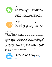

### **Family Activity**

Build a fire. Sit around it and talk about fires. Talk about how we can get warmth, cook food, have light from fires, but how touching it burns us. Talk about God being holy. Holiness is like a fire. There are so many good things we get from God's holiness, but the mountain being covered with fire showed that God is holy, and we are not. We can't touch that holiness; we can see it and benefit from it. Only through the cross can we approach it. Now review the 10 Commandments. Play charades acting out the commandments one at a time.



### **Family Prayer**

Merciful God, who sent Your messengers the prophets to preach repentance and prepare the way for our salvation: Give us grace to heed their warnings and forsake our sins, that we may greet with joy the coming of Jesus Christ our Redeemer; who lives and reigns with You and the Holy Spirit, one God, now and forever. Amen.

# **December 9**

Read Isaiah 40:1-11

God is with us. (Snuggle close with family)

The prophet Isaiah is telling the people how much God dearly loves them. Did you hear those sweet words "comfort, comfort"?

I like comfort. Do you have a comfy couch or a comfy bed? When you are snuggled in a comfy spot, everything is great. God is the best comfort. God knows we are weak. But God is strong! He knows we are like the grass. Sometimes we are up, and sometimes we are down. But God is always strong! Our great God loves us very much, just the way we are. I am so glad he loves us tenderly!

Think about Isaiah 40:11 "He tends his flock like a shepherd: He gathers the lambs in his arms and carries them close to his heart; He gently leads those that have young." Jesus is the good shepherd. He carries little ones tenderly, just like your mommy or daddy hold you. I love that God lets us know we are held CLOSE to His heart! That is the comfiest spot ever, CLOSE to God's heart. Always remember that God loves you! God is with us.



### **Craft**

Materials: coloring sheet and watercolors

• Instructions: Use your watercolors to color this coloring sheet. [http://www.supercoloring.com/coloring-pages/jesus-christ-holding-a](http://www.supercoloring.com/coloring-pages/jesus-christ-holding-a-lamb)[lamb](http://www.supercoloring.com/coloring-pages/jesus-christ-holding-a-lamb)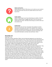

### **Follow-Up Question**

What brings you comfort? Who do you run to when you are scared or sad? How do we lean into Jesus for comfort when we can't see or touch Him?



### **Family activity**

Gather all the things in your house that bring you comfort. A favorite blanket, stuffed animals. Snuggle with them in your fort that you made earlier this week. Talk about what brings you comfort when you are scared or sad.



#### **Family Prayer**

Merciful God, who sent Your messengers the prophets to preach repentance and prepare the way for our salvation: Give us grace to heed their warnings and forsake our sins, that we may greet with joy the coming of Jesus Christ our Redeemer; who lives and reigns with You and the Holy Spirit, one God, now and forever. Amen.

## **December 10**

### Read Luke 1:5-25

Have you ever been speechless? What's the last thing that happened to you that left you feeling that way? When a man and woman marry, many times they will start dreaming of the day when they will have a family of their own. They dream about how many kids they will have, what they will name them and where they will live. This week we have looked at two such couples. Imagine your grandparents. Both these couples were as old as your grandparents. Can you imagine them with a newborn baby? Think about that. Waiting for what you want is hard. Both these couples listened to God and obeyed Him. They served him with all their hearts and soul and mind and bodies. What do you think they wanted more than anything? They wanted to have a family of their own. Why do you think God made both wait until they were old. Miracles are something only God can do. He can bring something out of nothing. Both Sarah and Elizabeth were barren. Barren means empty and void of life. Think of a desert. What grows in a desert? Not too much! Both these couples were older, and they had lost hope of a child of their own, but what does our God do? He takes them to a place where they must totally trust Him. What's something you've really wanted but had to wait a long time to come? Did you wait well? Do you think these two couples waited well? Read verse 6-8 again. What words are used to describe Zechariah and Elizabeth? Do those same words get used to describe you when you are not getting what you want?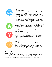

- Materials: paper, crayons
- Instructions: Before you read the passage from Matthew, make a book out of a piece of paper by folding it in half, then folding it in half again. Staple the seam and cut through the bottom folds to create the pages. Tell your children that after you read the story, they will have to tell it back to you by drawing pictures with no words in their book. After they have finished, have everyone share their book with the family. Talk about how not everyone could read and write back in Jesus' day. They had to rely on storytelling to pass down the important details of their history



### **Family Activity**

Set the timer on the oven for an hour. Try to do everything you do as a family without talking for that one hour. Imagine how hard it was for Zechariah to be silent for all those months while he waited for John to be born. Play Pictionary as a family. Talk about how hard it is to draw something in a hurry or to communicate something really important.



### **Follow-up Question**

Who do Zechariah and Elizabeth remind you of? Go back to the Isaiah passage we read this week. How does the child they are promised remind you of the promise made in Isaiah? How does it make you feel to know that a promise God made thousands of years before is coming true? God always keeps His promises.



### **Family Prayer**

Merciful God, who sent Your messengers the prophets to preach repentance and prepare the way for our salvation: Give us grace to heed their warnings and forsake our sins, that we may greet with joy the coming of Jesus Christ our Redeemer; who lives and reigns with You and the Holy Spirit, one God, now and forever. Amen.

# **December 11**

Read Luke 1:26-45

When someone calls on the phone, how do people usually answer it? With HELLO! Or HI! Maybe in Texas, someone might even say HOWDY, like "Big Tex" says at the State Fair! And when I call someone, I usually want to TELL them something; give them a message.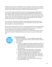Well God, of course, doesn't need phones to send a message. But God had a very wonderful and important message to share with a young girl named Mary, who He had chosen to be the mother to Jesus, the Son of God. And it was time for God to tell her all about it.

So, God sent His angel, named Gabriel, to deliver this amazing message. Gabriel didn't say Hey or Howdy, though. Gabriel came to Mary and said, "GREETINGS! THE LORD IS WITH YOU!" What was God's message for Mary? That God's plan was to send Jesus into our world to be our Savior. God made a special way for Jesus to come as a baby. Mary had been chosen by God to carry Jesus, the Son of God in her womb. Gabriel told Mary that the Holy Spirit would come upon Mary in a powerful and mysterious way.

Jesus' birth is like no other birth. And Jesus is like no other person that ever lived, either. Jesus is Immanuel – which means God with us. Pastor Mark likes to say that Jesus is 100 % God and 100% man. Fully God and Fully man.

God sent Jesus to become like you and me in every way except He never did anything wrong, what we call sin. Then when He grew up, Jesus followed God's plan to rescue us from our own sins by dying on the cross and then coming back to life 3 days later. We don't deserve to be rescued, but Jesus loves us so much that He left his home in heaven

and came first as Mary's little baby and then a man to save us so we can live forever with Him!



### **Craft: Coffee Filter Angel**

- Materials: popsicle stick, 2 or more coffee filters, metallic pipe cleaner, glue and glue gun, markers, sequins/craft gems, thread or cord for hanging
- Instructions:
	- 1. To make your angel's dress, fold your coffee filter in half or not quite half, depending on how long and layered you want your angel's dress to be. To add an extra layer or frill to your angel's dress, fold 2 or more coffee filters this way, and layer them on top of each other.
	- 2. Now fold the edges of the coffee filters in until you get a "neckline" that's just a bit wider than your popsicle stick.
	- 3. Use white glue to glue the dress to the popsicle stick.
	- 4. To make your angel's wings, fold a coffee filter in half. Cinch the wings in the middle and twist a pipe cleaner around this section. Leave a bit of a tail on the pipe cleaner. It will make it easier glue the wings to the popsicle stick.
	- 5. For an easy angel face, make eyes, mouth and cheeks with permanent markers or pen.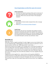### **<https://happyhooligans.ca/coffee-filter-angel-craft-ornament/>**



### **Follow-Up Question**

- How does even Gabriel's greeting to Mary point to who Jesus is?
- The Trinity is God the Father, God the Son (Jesus) and God the Holy Spirit. Where do we see each of them in this passage of Scripture?



### **Family Activity**

- Call a friend or family member and greet them with a message about Jesus.
- Read [Mary's First Christmas by Walter Wangerin](https://www.amazon.com/Marys-First-Christmas-Walter-Wangerin/dp/0310222168)



### **Family Prayer**

Merciful God, who sent Your messengers the prophets to preach repentance and prepare the way for our salvation: Give us grace to heed their warnings and forsake our sins, that we may greet with joy the coming of Jesus Christ our Redeemer; who lives and reigns with You and the Holy Spirit, one God, now and forever. Amen.

## **December 12**

Read Luke 1:46-56

What does it mean to magnify something? To make it bigger so you can see it better! Have you ever looked through a magnifying glass? So often when we do our expression is one of awe and wonder. We often say, "WOW, look at that!!! I never knew…."

What do you do when you are happy? A LOT of people sing. I can tell when the people in my house are happy when I hear them singing to themselves. It's a sure sign. Every movie we love usually contains a scene where the hero or heroine burst into song when something really good happens, a dream comes true or the battle is won. Even if they don't sing, you hear victory music playing in the scene while they celebrate. The music magnifies the joy of the moment.

Singing praise to God magnifies Him…makes His Name and His goodness BIGGER for everyone who hear you. When Mary shared the joy of carrying Jesus with Elizabeth and she heard the good news of Elizabeth carrying John the Baptist, their hearts were overjoyed. They burst out in song. This is the song we sing so often this time of year. Joy is magnified in song.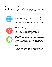What makes you want to sing? When you see a dream come true, when something you really want happens, your heart will burst into song. What you sing about will become BIGGER and BETTER to all who hear you. That's why our hearts and homes are full of Christmas carols this time of year. The radio is bursting with music because the BEST GIFT EVER has come into the world in JESUS!



#### **Craft**

Make up your own song. Collaborate on a new Christmas song. Have Mom or Dad or your oldest child be the scribe. Once the song is finished, sing it to a favorite tune or make up your own music. If someone in your family plays an instrument, let them make up a tune. Record it and send it to your grandparents. Do you realize you are one of their dreams come true?



### **Follow-up Question**

Re-read verses 48 and 54-55. How do you see this as the fulfillment of what we read in Genesis 12 earlier this week? Do you know who Mary's great-great-great-great grandfather was? How was she the fulfillment of all those promises as she became the mother of Jesus? How are all nations blessed through her?



### **Family Activity**

Play "Name that Tune" with Christmas carols. Take turns humming the carol until someone figures out which one it is. That person gets to go next. Share your favorite carols with each other. Discuss why they are your favorite. Make a list of them and go to a neighbor who can't get out much. Sing your list of Christmas songs to them.

### And/Or

Find a big magnifying glass. Go around the house looking at things up close. What do you learn? What makes you go WOW? How can you do this with Jesus this season?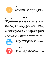### **Family Prayer**



Merciful God, who sent Your messengers the prophets to preach repentance and prepare the way for our salvation: Give us grace to heed their warnings and forsake our sins, that we may greet with joy the coming of Jesus Christ our Redeemer; who lives and reigns with You and the Holy Spirit, one God, now and forever. Amen.

# **WEEK 3**

# **December 14**

### Read Luke 1:57-80

God had promised Elizabeth and Zechariah a son and now he has arrived! This baby, named John, will be more than just a cousin to Jesus. He has been sent from God with a very special job to do. We are told that he will *prepare the way* for Jesus. What does this mean? It means he will get the people ready for the Messiah whom they have been waiting for! Remember that God has been silent for 400 years. And now John is sent right before Jesus to remind the people to be ready. Like the prophets from the Old Testament, he reminds them to repent of their sins. When we remember our sins, we are ready for a savior!

Zechariah had been silent too (but for only 9 months). God made him silent because he didn't believe that God could really give him a son. But he believes now, doesn't he? And when God lets him speak again, his first words are these beautiful verses of praise to God. He remembers that God has kept his promises to David and Abraham. He tells us that Jesus is coming like the sunrise after a long darkness. Isn't that a wonderful picture to think about? -Amy Dunlap, *Elementary Ministry Volunteer*



### **Craft**

- Materials: Watercolors and blank sheet of paper
- Instructions: Draw a picture of a sunrise as you imagine seeing it after 400 years of darkness!



### **Follow-Up Question:**

- Why did Elizabeth and Zechariah name their baby John? Look back at 1:8-13 if you need to refresh your memory.
- What does it mean that John prepared the way for Jesus? How can we get ready for Jesus?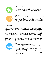

### **Family Activity – Silent Game**

• As a family, see who can be completely silent. The person who is "it" selects who they think is being the most silent, then that person becomes it. See how many rounds you get to be it!



### **Family Prayer**

Stir up Your power, O Lord, and with great might come among us; and, because we are sorely hindered by our sins, let Your bountiful grace and mercy speedily help and deliver us; through Jesus Christ our Lord, to whom, with You and the Holy Spirit, be honor and glory, now and forever. Amen.

## **December 15**

### Read Revelation 21:1-8

Like the Israelites heading towards the Promised Land, God promises to bring the new Heavens and the new Earth to us! He is promising to restore all that is broken and hurting, and to remove all of our tears and our sadness. God is claiming that His children belong solely to him and that this story will truly end in the happiest of ways! Just like in Genesis, we get to see how glorious God is when he uses his voice to create everything in existence. We hear God say very important words: "It is done". This means completion or being finished. Like when you read the last chapter of an amazing story or put the last piece into the puzzle, God is telling us that being with Him forever, in this restored new heaven and earth, will be the final part of our story! That is what we are looking forward to with hope. That is where our dreams and our eyes look to, longing for that day to arrive, where Jesus descends from Heaven and rules as King!



### **Craft**

- Materials: two sheets of Paper, Markers
- Instructions: Label one sheet of paper, "Old Heavens and Earth" and the other sheet of paper, "New Heavens and Earth". List out the broken things on the old Heavens and the Restored things on the new Heavens.

Finally, both crumple and un-crumple the old Heavens paper to create a distressed look. Repeat this step and see how the paper changes over time!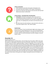

### **Follow-up Question**

- What important words does God speak in Revelation 21:6
- How does God show His glory in this chapter of Revelation?
- What do you think the new Heavens and new Earth with look like? What do you dream it will be like?

### **Family Activity – Something Old, Something New**

- **Instructions:** Find both an old version and a new version of something and compare the difference! To make this a game, create a list of items and partner up. First team to collect the most items wins. Or if playing solo, set a timer to see how fast you can go.
- **Ex.** Find a new coin and an old coin, a new sock and an old sock, a new sheet of paper and an "old" sheet of paper



### **Family Prayer**

Stir up Your power, O Lord, and with great might come among us; and, because we are sorely hindered by our sins, let Your bountiful grace and mercy speedily help and deliver us; through Jesus Christ our Lord, to whom, with You and the Holy Spirit, be honor and glory, now and forever. Amen.

## **December 16**

### Read Revelation 21:9-27

With the New Heavens and New Earth, comes the New City of Jerusalem. While some read this section as a description of what the new city will look like, others take it as a symbol for the life in heaven for God's redeemed children. Using our imagination, we can close our eyes and begin to dream and wonder how life with God, forever will be. Reflecting God's glory and brilliance, the city is described with great beauty being filled with all sorts of gemstones and precious jewels. And with gates that are guarded by angels, we are reminded that we will be safe and secure as promised by God. That he will protect us and care for us. But the greatest change from an old city to new, is that the people of God are not worshiping in a temple or a church because God will be with them every day! Like in the garden, walking with Adam and Eve, God is at the center of this great city. His light is shining out and we, His children, are with him.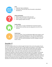

- Materials: Paper and Markers
- Instructions: Draw the New city of Jerusalem as described in Revelation 21

### **Follow-Up Question**

- What is your favorite part of this new city?
- Why isn't there a church or temple in the city?
- Who is going to dwell in the city?



### **Family activity**

- Listen, dance, or sing to "We Will Feast in the House of Zion"
- Read the lyrics and share how this song points to our life in the new city.



### **Family Prayer**

Stir up Your power, O Lord, and with great might come among us; and, because we are sorely hindered by our sins, let Your bountiful grace and mercy speedily help and deliver us; through Jesus Christ our Lord, to whom, with You and the Holy Spirit, be honor and glory, now and forever. Amen.

# **December 17**

### Read Micah 4:1-7

Like other prophets before him, Micah brought the Word of the Lord to the people of Israel. As a city, Jerusalem was often the center of major battles and conquests. It was captured and taken by various enemies, with its walls overtaken and the temple where God's people worshiped, destroyed. Yet Micah tells us of a day where the city of Jerusalem will be the center of God's reign. In fact, much of this story shows us how God intends to do the unexpected. God plans to take the weakest of cities and make it the strongest. He will bring peace to world that swords and spears will be turned into farming equipment. Instead of training soldiers, we will be working with and alongside our neighbors enjoying the wonder of God. And finally, we see that God is bringing the outcast and the exiled. Those who aren't the greatest and smartest but those who have been forced from their homes by other nations. God does not call those who are qualified, but rather He qualifies those whom he has called.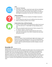

- Materials: Playdough
- Instructions: First, make a sword and a spear with your playdough. Then, like the soldiers in the New City of Jerusalem, turn your weapons into Farm tools! Are there other things you can think of that might be repurposed in the new city? Try that out as well!

### **Follow-up Question**

- Why do you think the city is located on the Highest mountain in this story?
- List the things that make the new city different from the old city
- Which city would you prefer to live in? Why?

### **Family Activity: New vs Old City Charades**

- Prepare: on slips of paper write things that are either from the old city or the new city. Ex – Sword Fight; Farming; Napping under a tree
- Take turns acting the words out and see if others can guess if it is an "old city" word or a "new city" word.
- To compete, divide into teams and get points for each correct action your team guesses. Use a timer or decide how many totals each person can do.



### **Family Prayer**

Stir up Your power, O Lord, and with great might come among us; and, because we are sorely hindered by our sins, let Your bountiful grace and mercy speedily help and deliver us; through Jesus Christ our Lord, to whom, with You and the Holy Spirit, be honor and glory, now and forever. Amen.

# **December 18**

### Read Genesis 22:1-14 & Heb 11:17-19

Abraham faced a test that revealed the strength of his faith in God. It was a test that touched his deepest love, but it was also a test that revealed God's faithfulness and strengthened Abraham's faith. God commanded Abraham to offer the son he deeply loved back to Him. Isaac was not just his son, he represented his "dream," the promise of God. God asked Abraham to obey him, even when it was hard. Abraham had worshiped God on the mountain before. He knew that God was pleased with the sacrifice of lambs and goats, but now God asked for a sacrifice of the thing Abraham had dreamed of and longed for and loved: his son, Isaac.

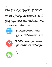Just as Abraham trusted his Heavenly Father; Isaac trusted his father, Abraham. Isaac loved to worship God with his father. Isaac remembered the wonderful stories of God his father had told him. As they walked up the mountain, they carried the wood, fire, and knife they would need. "The fire and wood are here," Isaac said, "but where is lamb for the burnt offering?" Abraham responded, "God Himself will provide the lamb for the burnt offering, my son." Abraham gave up his desires in order to do what God asked. He didn't want to give up his son. He didn't understand God's plan, but Abraham knew God was trustworthy, that He was faithful, and that He could do all things. Just when Abraham had the knife raised, God called out to him. Abraham looked up and he saw a ram caught by its horns in some nearby bushes. He knew that God provided this ram to take the place of his son. God's call to sacrifice Isaac would become a picture of God's sacrifice of His only son, Jesus. God promised that through Abraham's offspring, all nations on earth would be blessed because Abraham obeyed Him. This promise of all being blessed is found in Abraham's descendent, Jesus Christ. God would sacrifice His only Son. Jesus died on the cross as an offering for our sins. God provides His forgiveness and love through His Son, Jesus Christ.

− Heath and Scott Beasley, *Elementary Ministry Volunteers*



### **Craft**

- Materials: sidewalk chalk
- Instructions: Go outside to the sidewalk, your walkway or driveway. Choose one person to draw Jesus in a manger, but everyone else draw a lamb (however they would like and what they think a lamb looks like). Have an older child or an adult write John 1:29, "Look the Lamb of God who takes away the sin of the world!"



### **Follow-Up Question**

- What do you love most? What would have been the hardest to give up, like Abraham giving up Isaac?
- How do you think Abraham felt as he walked up the mountain with his son? How do you think God felt giving Jesus for our sins?
- Why does Jesus come as the sacrificial lamb? Why must he die?
- What words describe who God is in Genesis 22?



### **Family Activity**

• Sing, listen or dance to: "I Surrender All" & "Lamb of God"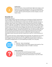

### **Family Prayer**

Stir up Your power, O Lord, and with great might come among us; and, because we are sorely hindered by our sins, let Your bountiful grace and mercy speedily help and deliver us; through Jesus Christ our Lord, to whom, with You and the Holy Spirit, be honor and glory, now and forever. Amen.

# **December 19**

Read Genesis 28:10-22

Can you imagine being in the shoes of Jacob as you are leaving your family? Jacob had just stolen his brother's birth right and now his brother was conspiring to kill him! And so, he rushed out the door and was fleeing to his Uncle's house. But after a long day's journey, he decided to sleep. Using a rock as a pillow, he fell fast asleep and had the most incredible encounter with God. I can imagine for Jacob that some of the stories that he was told about God, as a child, felt a bit distant. Sure, Isaac had survived a miraculous sacrifice but for Jacob, he had only ever seen the harder parts of being a twin with Esau. But can you imagine that night for Jacob? He hears the voice of God affirming that He is the God of his father Isaac and also his grandfather Abraham, and that the promises for them are also the promises for his own life! That this land would be for him and his offspring and that from him, the whole world would be blessed. He sees the staircase or ladder with angels descending and ascending to heaven and knows that God is exactly who He says he is, and his promises are real!

God is at work in this story, actively shaping and pursuing Jacob. This will become one of two incredible encounters that Jacob has with God, struggling to find and believe his place in God's kingdom. But God, with the picture of a ladder connecting the heaven to the earth, is committed to bringing heaven to us and establishing his people, for his own glory!

# **Craft**

- Materials: Paper and playdough
- Instructions: Sketch out the dream sequence that Jacob has. Then use the playdough to make a 3-D ladder or staircase.



### **Follow-up Question**

- How do you think Jacob felt leaving his family?
- How would you have reacted to the dream that Jacob had?
- List out ways that God has answered prayers in your life or been there for you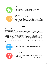

### **Family Activity - Act it out!**

Using props around the house to help, reenact the story from the perspective of Jacob. Possible characters: Voice of God, Jacob, Angels descending and ascending staircase



### **Family Prayer**

Stir up Your power, O Lord, and with great might come among us; and, because we are sorely hindered by our sins, let Your bountiful grace and mercy speedily help and deliver us; through Jesus Christ our Lord, to whom, with You and the Holy Spirit, be honor and glory, now and forever. Amen.

# **WEEK 4**

### **December 21**

Read Philippians 2:5-11

God loves you and He loves me. And did you know God is with us? His name is Immanuel which means God with us. In these verses we see Our Savior was first a servant. Even though He is The King of all Kings, He chose to serve. He willingly traded His crown for a cross. That cross is where He paid for all our sin. And Jesus wants us to follow His example. What If He hadn't chosen to serve and die willingly on the cross? We wouldn't have a Savior. We wouldn't have forgiveness for our sin. So today think of ways you can serve someone else. Put someone else's needs above your own. And while doing this remember what Jesus did for you. With your tongue confess that Jesus is Lord and give God all the glory! Praise God for Jesus!



### **Craft**

- Materials: Crayons and paper
- Instructions: Make a coupon for one household chore you can do to serve your family this week.



### **Follow-Up Question**

- Why do you think Jesus laid down His crown for the cross?
- How do you feel when someone serves you, is kind to you and helps you?
- How do you feel when you serve someone else, and are kind to them and help them?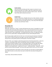

### **Family Activity**

Have each family member give their coupon to someone in your family and let them use it today. After you've done your chore to serve your family, share how it made you feel to serve. And share how it feels when someone serves you.



### **Family Prayer**

Purify our conscience, Almighty God, by Your daily visitation, that Your Son Jesus Christ, at His coming, may find in us a mansion prepared for Himself; who lives and reigns with You, in the unity of the Holy Spirit, one God, now and forever. Amen.

## **December 22**

Read Titus 2:11-3:7

What does "God with us" mean? It means that because Jesus came, it's possible for us to go to heaven when we die. But when God sent us Jesus, it was more than this. We are now on God's team and part of His big wonderful plan, a plan that He had for each of us when He made the world. It was a special plan… He would send His Son, Jesus, as a baby who would grow up to be a perfect Man, showing all people how they could make good choices.

But He knew people couldn't do it on their own. So He took away the bad part of death for them and for us when He died and rose again. Jesus then went back to heaven to be with God and sent us the perfect present, the Holy Spirit, to be with us always.

Because of this, we can begin to make those good choices that God prepared for us when He created us. According to God's Word, the Holy Spirit came and enables us to choose to repent and to choose to believe in Jesus. The Holy Spirit helps us live the right way making good choices every day. We can choose to do what God says. We can choose to: "be obedient to every good work"; "speak evil of no one"; "avoid quarreling"; "be gentle"; "show perfect courtesy toward all people" and many other good choices that we are to be making.

So, because God loved us and made us to be on His team, we now want to read the Bible to learn what He wants us to do and we now want to thank Him every day for being with us always.

-Susan Keyes, *Nursery Ministry Volunteer*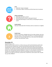

- Materials: Crayons and paper
- Instructions: Make a Christmas card that shows love to someone



### **Follow-up Question**

- What does God with us mean?
- Who did God send to help us make good choices?
- What book did God give us that shows us everything He wants us to do?



### **Family Activity**

Have your family take their Christmas cards to a loved one or neighbor



### **Family Prayer**

Purify our conscience, Almighty God, by Your daily visitation, that Your Son Jesus Christ, at His coming, may find in us a mansion prepared for Himself; who lives and reigns with You, in the unity of the Holy Spirit, one God, now and forever. Amen.

# **December 23**

### Read Matthew 1:1-17

God has a perfect plan for all of us. In these verses you will see that God had a perfect plan for the time Jesus would be born. Did you know God had a perfect plan for the time you would be born? It wasn't an accident. You were born at the exact moment God wanted you to be born. You were born to the exact parents and into the exact family God wanted you to be born into. God's people had been looking for a Savior for a very long time. Sometimes we feel like we're waiting a long time for God to do something. His plan and His timing are perfect. So, our job is to trust Him, to praise Him, to thank Him, and to wait for Him. His plan for your life is PERFECT!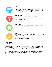

- Materials: Crayons and paper, sidewalk chalk or paints and paper
- Instructions: Draw a picture of your family around your Christmas tree. It will remind you of the beautiful family God gave you and His beautiful gift of sending Jesus at Christmas.

### **Follow-Up Question**

- Why do you think God has a perfect plan for all of us?
- How does it make you feel to know He loves you so much He has a perfect plan for you?



### **Family activity**

Sing Christmas Carols as a family and remember God's perfect plan for each of you and His perfect plan for sending Jesus.



### **Family Prayer**

Purify our conscience, Almighty God, by Your daily visitation, that Your Son Jesus Christ, at His coming, may find in us a mansion prepared for Himself; who lives and reigns with You, in the unity of the Holy Spirit, one God, now and forever. Amen.

# **December 24**

### Read Matthew 1:18-25

Remember God's perfect plan? God's perfect plan for Jesus was to have Mary as His mother and Joseph as His earthly father. God also had a perfect plan for when Jesus would be born. And where He would be born. He also had a perfect name for His son. The angel told Joseph to not be afraid but to take Mary as his wife and call his son, JESUS. The angel also told Joseph that this baby would save His people from their sins. His name is also IMMANUEL. Which means God with us. God loves us so much He not only created us but wanted us to have a way back to Him. So He sent His only son Jesus so He could be our connection back to God.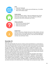

- Materials: Playdough
- Instructions: Create a nativity scene with baby Jesus, His mother Mary and His father Joseph.

### **Family Activity**

Pull out your family's nativity. Take turns telling the story of Jesus birth to the rest of your family. Each of you will have a different perspective that will be a blessing to your family.

### **Follow-up Question**

- Who was Jesus Heavenly Father?
- What city was Jesus born in?
- Where was Jesus born?



### **Family Prayer**

Purify our conscience, Almighty God, by Your daily visitation, that Your Son Jesus Christ, at His coming, may find in us a mansion prepared for Himself; who lives and reigns with You, in the unity of the Holy Spirit, one God, now and forever. Amen.

# **December 25**

### Read Luke 2:1-21

This is the most beautiful story of Love. It shows us how much God loves us. It also shows us how much Mary loved God, and how she trusted Him to help her be the mother to the Savior of the world. Childcare birth is not easy even if it is the Savior of the World. It was full of pain, but also a labor of love. Joseph and Mary were all alone in a stable full of animals. It was probably not very clean. It was probably cold. There were no doctors or midwives to help them in the middle of the night. But the star shone bright and reminded them that God was with them. Joseph and Mary were very aware that this baby was the creator of the universe, He would move mountains, He was the Savior of the world.

As all of this was happening, angels appeared to the shepherds in the field. Not to kings or government officials, but to lowly shepherds. And told them. "FEAR NOT! I bring you good news of great joy for all the people. A savior has been born in Bethlehem. And you will find Him wrapped in cloths and lying in a manger." A manger? Don't you mean a beautiful crib in a nice, warm nursery? No! A scratchy, hay filled manger in a stable filled with stinky animals was where the Savior of the World was born. All the angels were praising God saying, "GLORY